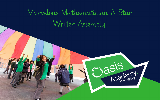# Marvelous Mathematician & Star Writer Assembly



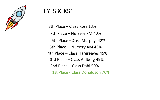

## EYFS & KS1

8th Place – Class Ross 13% 7th Place – Nursery PM 40% 6th Place –Class Murphy 42% 5th Place – Nursery AM 43% 4th Place – Class Hargreaves 45% 3rd Place – Class Ahlberg 49% 2nd Place – Class Dahl 50% 1st Place - Class Donaldson 76%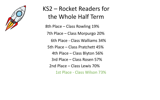

## KS2 – Rocket Readers for the Whole Half Term 8th Place – Class Rowling 19% 7th Place – Class Morpurgo 20% 6th Place - Class Walliams 34% 5th Place – Class Pratchett 45% 4th Place – Class Blyton 56% 3rd Place – Class Rosen 57% 2nd Place – Class Lewis 70% 1st Place - Class Wilson 73%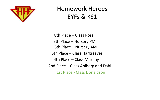

## Homework Heroes EYFs & KS1

6th Place – Nursery AM 5th Place – Class Hargreaves 4th Place – Class Murphy 2nd Place – Class Ahlberg and Dahl 1st Place - Class Donaldson 7th Place – Nursery PM 8th Place – Class Ross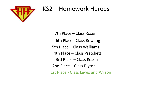

## KS2 – Homework Heroes

7th Place – Class Rosen 6th Place - Class Rowling 5th Place – Class Walliams 4th Place – Class Pratchett 3rd Place – Class Rosen 2nd Place – Class Blyton 1st Place - Class Lewis and Wilson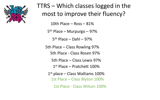

## TTRS – Which classes logged in the most to improve their fluency?

5 th Place – Dahl – 97%

5th Place – Class Rowling 97%

5th Place - Class Rosen 97%

5th Place – Class Lewis 97%

1 st Place – Pratchett 100%

1 st place – Class Walliams 100%

1st Place – Class Blyton 100%

1st Place - Class Wilson 100%

- 
- 
- 
- 
- 
- 
- 
- 
- 
- 
- 
- 
- - -
- - - -
		-
		-
		- -
		-
		-
		-
		-
		-
		-
		-
		-
		-
		-
		-
- -
	-
	-
- 
- 
- 
- 
- 
- 
- 
- 
- 
- 
- 
- 
- 
- 
- 
- 
- 
- 
- 
- 
- 
- 
- 
- 
- 
- 
- 
- 
- 
- 
- 
- 
- 
- 
- 
- 
- 
- 
- 
- 
- 

10th Place – Ross – 81%

5<sup>th</sup> Place – Murpurgo – 97%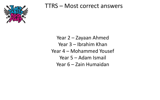

## TTRS – Most correct answers

Year 2 – Zayaan Ahmed Year 3 – Ibrahim Khan Year 4 – Mohammed Yousef Year 5 – Adam Ismail Year 6 – Zain Humaidan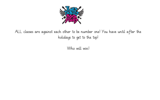

ALL classes are against each other to be number one! You have until after the holidays to get to the top!

Who will win!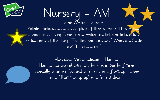

## Nursery - AM Star Writer – Zubair

Zubair produced an amazing piece of literacy work. He carefully listened to the story 'Dear Santa' which enabled him to be able to re-tell parts of the story, "The lion was too scary" What did Santa say? "I'll send a cat".

Marvellous Mathematician – Humna Humna has worked extremely hard over this half term, especially when we focussed on sinking and floating. Humna said "float they go up" and "sink it down".



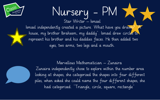

## Nursery - PM Star Writer – Ismael Ismael independently created a picture. What have you drawn? house, my brother Ibraheem, my daddy". Ismael drew circles to

represent his brother and his daddies faces. He then added two eyes, two arms, two legs and a mouth.



Marvellous Mathematician – Zunaira Zunaira independently chose to explore within the number area looking at shapes, she categorised the shapes into four different piles, when asked she could name the four different shapes, she had categorised. "Triangle, circle, square, rectangle"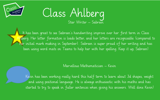

## Class Ahlberg Star Writer – Sabreen

It has been great to see Sabreen's handwriting improve over her first term in Class Ahlberg. Her letter formation is loads better, and her letters are recognisable (compared to her initial mark making in September). Sabreen is super proud of her writing and has been using word mats on Teams to help her with her spelling. Keep it up, Sabreen!

Marvellous Mathematician – Kevin

Kevin has been working really hard this half term to learn about 3d shapes, weight and using positional language. He is always enthusiastic with his maths and has started to try to speak in fuller sentences when giving his answers. Well done Kevin!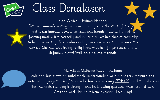# Class Donaldson

Star Writer – Fatima Hannah.



Fatima Hannah's writing has been amazing since the start of the year, and is continuously coming on leaps and bounds. Fatima Hannah is forming most letters correctly and is using all of her phonics knowledge to help her writing. She is also reading back her work to make sure it is correct. She has been trying really hard with her finger spaces and it definitely shows! Well done Fatima Hannah!

Marvellous Mathematician – Subhaan Subhaan has shown an unbelievable understanding with his shapes, measure and positional language this half term – he has been working REALLY hard to make sure that his understanding is strong – and he is asking questions when he's not sure. Amazing work this half term Subhaan, keep it up!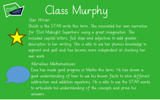

# Class Murphy

### Star Writer

Shiloh is the STAR write this term. She innovated her own narrative for 'Eliot Midnight Superhero' using a great imagination. She included capital letters, full stops and adjectives to add greater description to her writing. She is able to use her phonics knowledge to segment and spell and has become more independent at checking her own work.

### Marvelous Mathematician

Eesa has made good progress in Maths this term. He has shown a good understanding of how to use his known facts to solve different subtraction and addition equations. He is able to use the STAR words to articulate his understanding of the concepts and prove his answers.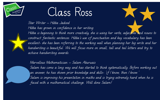

# Class Ross

Star Writer – Hibba Jadood Hibba has grown in confidence in her writing. Hibba is beginning to think more creatively, she is using her verbs, adjectives and nouns to construct fantastic sentences. Hibba's use of punctuation and key vocabulary has been excellent- she has been referring to the working wall when planning her big write and her handwriting is beautiful. We will focus more on small, tall and tail letters and try to achieve handwriting awards.

Marvellous Mathematician – Salam Aburuais Salam has come a long way and has started to think systematically. Before working out an answer, he has shown prior knowledge and skills- 'if I know, then I know.' Salam is improving his presentation in maths and is trying extremely hard when he is faced with a mathematical challenge. Well done Salam!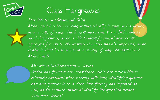

# Class Hargreaves

Star Writer – Mohammed Saleh Mohammed has been working enthusiastically to improve his writing In a variety of ways. The largest improvement is in Mohammed's vocabulary choice, as he is able to identify several appropriate synonyms for words. His sentence structure has also improved, as he is able to start his sentences in a variety of ways. Fantastic work Mohammed!

Marvellous Mathematician – Jessica

Jessica has found a new confidence within her maths! She is extremely confident when working with time, identifying quarter past and quarter to on a clock. Her fluency has improved as well, as she is much faster at identify the operation needed. Well done Jessica!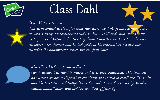

# Class Dahl



Star Writer - Ismaeel This term Ismaeel wrote a fantastic narrative about Perfectly Norman. Here he used a range of conjunctions such as 'but', 'until' and 'with' to make his writing more detailed and interesting. Ismaeel also took his time to make sure his letters were formed and he took pride in his presentation. He was then awarded the handwriting crown for the first time!



Marvellous Mathematician – Farah

Farah always tries hard in maths and loves been challenged! This term she has worked on her multiplication knowledge and is able to recall her 2s, 3s, 5s and 10s timetable confidently! She is then able to use this knowledge to solve missing multiplication and division equations efficiently.



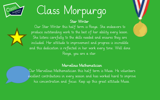

# Class Morpurgo

### Star Writer



Our Star Writer this half term is Rooya. She endeavors to produce outstanding work to the best of her ability every lesson. She listens carefully to the skills needed and ensures they are included. Her attitude to improvement and progress is incredible and this dedication is reflected in her work every time. Well done Rooya, you are a star.

### Marvellous Mathematician

Our Marvellous Mathematician this half term is Musa. He volunteers excellent contributions in every session and has worked hard to improve his concentration and focus. Keep up this great attitude Musa.

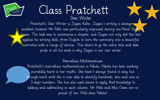

## Class Pratchett Star Writer

Pratchett's Star Writer is Zayan Kahn. Zayan's writing is always excellent, however Mr Mills was particularly impressed during one Novel Study lesson. The task was to summarise a chapter, and Zayan not only did this but applied his writing skills from English to turn the summary into a beautiful narrative with a range of devices. This desire to go the extra mile and take pride in all his work is why Zayan is our star writer.

### Marvellous Mathematician

Pratchett's marvellous mathematician is Nikola. Nikola has been working incredibly hard in her maths. She hasn't always found it easy, but through hard work she is now able to identify hundreds, tens and ones in 3-digit numbers. She has also used dienes to apply that knowledge to adding and subtracting in each column. Mr Mills and Miss Owen are so proud of her. Well done Nikola!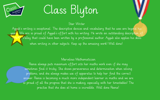

# Class Blyton

### Star Writer

Ayyub's writing is exceptional. The descriptive devices and vocabulary that he uses are beyond his years. We are so proud of Ayyub's effort with his writing. He wrote an outstanding description of **SW**alley that could have been written by a professional author. Ayyub also applies his skills when writing in other subjects. Keep up the amazing work! Well done!

### Marvelous Mathematician

Reena always puts maximum effort into her maths work even if she may sometimes find it tricky. She shows perseverance and determination when solving problems, and she always makes use of apparatus to help her find the correct answer. Reena is becoming a much more independent learner in maths and we are so proud of all the progress that she is making, especially with her timestables! The practise that she does at home is incredible. Well done Reena!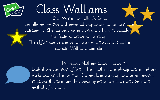# Class Walliams

Star Writer- Jamella Al-Dalai Jamella has written a phenomenal biography and her writing is outstanding! She has been working extremely hard to include all the features within her writing. The effort can be seen in her work and throughout all her subjects. Well done Jamella!

Marvellous Mathematician – Leah Ali Leah shows consistent effort in her maths, she is always determined and works well with her partner. She has been working hard on her mental strategies this term and has shown great perseverance with the short method of division.

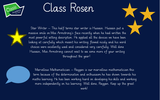

# Class Rosen



Star Writer – This half terms star writer is Hussain. Hussain put a massive smile on Miss Armstrong's face recently when he had written the most powerful setting description. He applied all the devices we have been looking at carefully which meant his writing flowed nicely and his word choices were excellently used and considered very carefully. Well done Hussain, Miss Armstrong cannot wait to see some more of your writing throughout the year!



Marvellous Mathematician – Rayyan is our marvellous mathematician this term because of the determination and enthusiasm he has shown towards his maths learning. He has been working hard on developing his skills and working more independently on his learning. Well done, Rayyan. Keep up the great work!

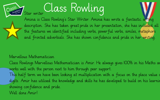Star writer Class Rowling Amina is Class Rowling's Star Writer. Amina has wrote a fantastic setting description. She has taken great pride in her presentation, she has included all the features we identified including verbs, powerful verbs, similes, metaphors and fronted adverbials. She has shown confidence and pride in her writing.

### Marvellous Mathematician

Class Rowlings Marvellous Mathematician is Amir. He always gives 100% in his Maths an works well with the person next to him through peer support. This half term we have been looking at multiplication with a focus on the place value o digits. Amir has utilised the knowledge and skills he has developed to build on his learnin showing confidence and pride. Well done Amir!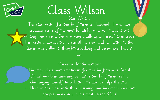

Class Wilson Star Writer. The star writer for this half term is Haleemah. Haleemah produces some of the most beautiful and well thought out writing I have seen. She is always challenging herself to improve her writing, always trying something new and her letter to the Queen was brilliant, thought-provoking and persuasive. Keep it up.

### Marvelous Mathematician

The marvelous mathematician for this half term is Daniel. Daniel has been amazing in maths this half term, really challenging himself to be better. He always helps the other children in the class with their learning and has made excellent progress – as seen in his most recent SAT's!